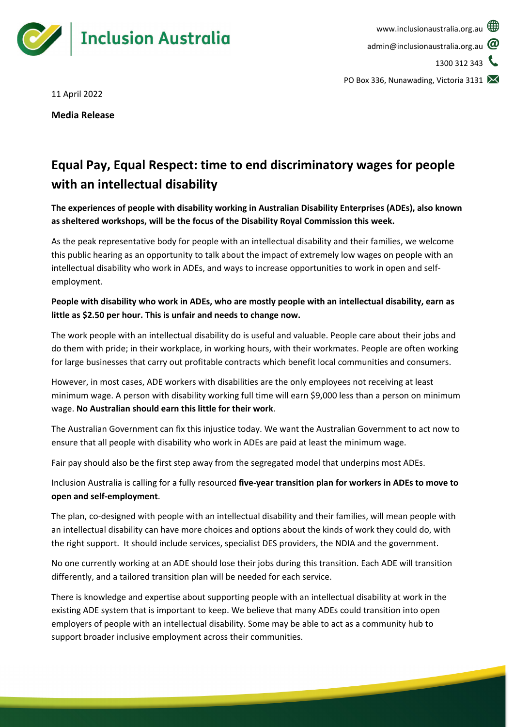

11 April 2022

**Media Release**

# **Equal Pay, Equal Respect: time to end discriminatory wages for people with an intellectual disability**

**The experiences of people with disability working in Australian Disability Enterprises (ADEs), also known as sheltered workshops, will be the focus of the Disability Royal Commission this week.** 

As the peak representative body for people with an intellectual disability and their families, we welcome this public hearing as an opportunity to talk about the impact of extremely low wages on people with an intellectual disability who work in ADEs, and ways to increase opportunities to work in open and selfemployment.

# **People with disability who work in ADEs, who are mostly people with an intellectual disability, earn as little as \$2.50 per hour. This is unfair and needs to change now.**

The work people with an intellectual disability do is useful and valuable. People care about their jobs and do them with pride; in their workplace, in working hours, with their workmates. People are often working for large businesses that carry out profitable contracts which benefit local communities and consumers.

However, in most cases, ADE workers with disabilities are the only employees not receiving at least minimum wage. A person with disability working full time will earn \$9,000 less than a person on minimum wage. **No Australian should earn this little for their work**.

The Australian Government can fix this injustice today. We want the Australian Government to act now to ensure that all people with disability who work in ADEs are paid at least the minimum wage.

Fair pay should also be the first step away from the segregated model that underpins most ADEs.

Inclusion Australia is calling for a fully resourced **five-year transition plan for workers in ADEs to move to open and self-employment**.

The plan, co-designed with people with an intellectual disability and their families, will mean people with an intellectual disability can have more choices and options about the kinds of work they could do, with the right support. It should include services, specialist DES providers, the NDIA and the government.

No one currently working at an ADE should lose their jobs during this transition. Each ADE will transition differently, and a tailored transition plan will be needed for each service.

There is knowledge and expertise about supporting people with an intellectual disability at work in the existing ADE system that is important to keep. We believe that many ADEs could transition into open employers of people with an intellectual disability. Some may be able to act as a community hub to support broader inclusive employment across their communities.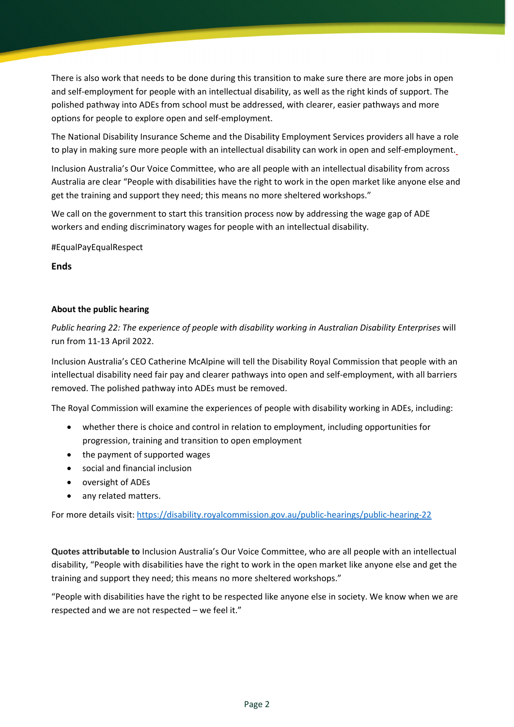There is also work that needs to be done during this transition to make sure there are more jobs in open and self-employment for people with an intellectual disability, as well as the right kinds of support. The polished pathway into ADEs from school must be addressed, with clearer, easier pathways and more options for people to explore open and self-employment.

The National Disability Insurance Scheme and the Disability Employment Services providers all have a role to play in making sure more people with an intellectual disability can work in open and self-employment.

Inclusion Australia's Our Voice Committee, who are all people with an intellectual disability from across Australia are clear "People with disabilities have the right to work in the open market like anyone else and get the training and support they need; this means no more sheltered workshops."

We call on the government to start this transition process now by addressing the wage gap of ADE workers and ending discriminatory wages for people with an intellectual disability.

#EqualPayEqualRespect

**Ends**

## **About the public hearing**

*Public hearing 22: The experience of people with disability working in Australian Disability Enterprises* will run from 11-13 April 2022.

Inclusion Australia's CEO Catherine McAlpine will tell the Disability Royal Commission that people with an intellectual disability need fair pay and clearer pathways into open and self-employment, with all barriers removed. The polished pathway into ADEs must be removed.

The Royal Commission will examine the experiences of people with disability working in ADEs, including:

- whether there is choice and control in relation to employment, including opportunities for progression, training and transition to open employment
- the payment of supported wages
- social and financial inclusion
- oversight of ADEs
- any related matters.

For more details visit[: https://disability.royalcommission.gov.au/public-hearings/public-hearing-22](https://disability.royalcommission.gov.au/public-hearings/public-hearing-22)

**Quotes attributable to** Inclusion Australia's Our Voice Committee, who are all people with an intellectual disability, "People with disabilities have the right to work in the open market like anyone else and get the training and support they need; this means no more sheltered workshops."

"People with disabilities have the right to be respected like anyone else in society. We know when we are respected and we are not respected – we feel it."